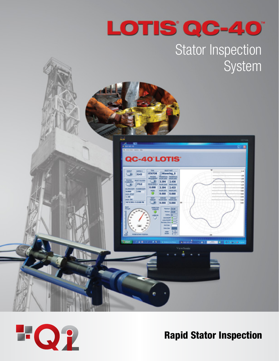

## Stator Inspection System





Rapid Stator Inspection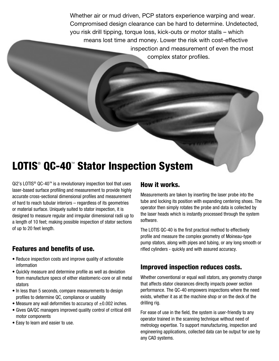Whether air or mud driven, PCP stators experience warping and wear. Compromised design clearance can be hard to determine. Undetected, you risk drill tipping, torque loss, kick-outs or motor stalls – which means lost time and money. Lower the risk with cost-effective inspection and measurement of even the most complex stator profiles.

### **LOTIS<sup>®</sup> QC-40<sup>™</sup> Stator Inspection System**

 $Qi2$ 's LOTIS<sup>®</sup> QC-40<sup>™</sup> is a revolutionary inspection tool that uses laser-based surface profiling and measurement to provide highly accurate cross-sectional dimensional profiles and measurement of hard to reach tubular interiors – regardless of its geometries or material surface. Uniquely suited to stator inspection, it is designed to measure regular and irregular dimensional radii up to a length of 10 feet; making possible inspection of stator sections of up to 20 feet length.

### Features and benefits of use.

- Reduce inspection costs and improve quality of actionable information
- Quickly measure and determine profile as well as deviation from manufacture specs of either elastomeric-core or all metal stators
- In less than 5 seconds, compare measurements to design profiles to determine QC, compliance or usability
- Measure any wall deformities to accuracy of  $\pm 0.002$  inches.
- Gives QA/QC managers improved quality control of critical drill motor components
- Easy to learn and easier to use.

#### How it works.

Measurements are taken by inserting the laser probe into the tube and locking its position with expanding centering shoes. The operator then simply rotates the probe and data is collected by the laser heads which is instantly processed through the system software.

The LOTIS QC-40 is the first practical method to effectively profile and measure the complex geometry of Moineau-type pump stators, along with pipes and tubing, or any long smooth or rifled cylinders - quickly and with assured accuracy.

### Improved inspection reduces costs.

Whether conventional or equal wall stators, any geometry change that affects stator clearances directly impacts power section performance. The QC-40 empowers inspections where the need exists, whether it as at the machine shop or on the deck of the drilling rig.

For ease of use in the field, the system is user-friendly to any operator trained in the scanning technique without need of metrology expertise. To support manufacturing, inspection and engineering applications, collected data can be output for use by any CAD systems.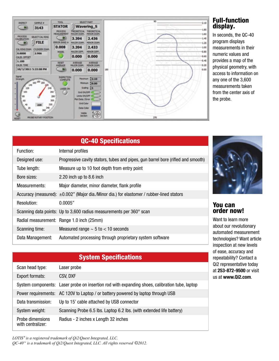

#### Full-function display.

In seconds, the QC-40 program displays measurements in their numeric values and provides a map of the physical geometry, with access to information on any one of the 3,600 measurements taken from the center axis of the probe.

| <b>QC-40 Specifications</b> |                                                                                                 |  |
|-----------------------------|-------------------------------------------------------------------------------------------------|--|
| Function:                   | Internal profiles                                                                               |  |
| Designed use:               | Progressive cavity stators, tubes and pipes, gun barrel bore (rifled and smooth)                |  |
| Tube length:                | Measure up to 10 foot depth from entry point                                                    |  |
| Bore sizes:                 | 2.20 inch up to 8.6 inch                                                                        |  |
| Measurements:               | Major diameter, minor diameter, flank profile                                                   |  |
|                             | Accuracy (measured): $\pm 0.002$ " (Major dia./Minor dia.) for elastomer / rubber-lined stators |  |
| Resolution:                 | 0.0005"                                                                                         |  |
|                             | Scanning data points: Up to 3,600 radius measurements per 360° scan                             |  |
|                             | Radial measurement: Range 1.0 inch (25mm)                                                       |  |
| Scanning time:              | Measured range $\sim$ 5 to $<$ 10 seconds                                                       |  |
| Data Management:            | Automated processing through proprietary system software                                        |  |

# System Specifications Scan head type: Laser probe Export formats: CSV, DXF

|                                       | System components: Laser probe on insertion rod with expanding shoes, calibration tube, laptop |
|---------------------------------------|------------------------------------------------------------------------------------------------|
|                                       | Power requirements: AC 120V to Laptop / or battery powered by laptop through USB               |
| Data transmission:                    | Up to 15' cable attached by USB connector                                                      |
| System weight:                        | Scanning Probe 6.5 lbs. Laptop 6.2 lbs. (with extended life battery)                           |
| Probe dimensions<br>with centralizer: | Radius - 2 inches x Length 32 inches                                                           |

*LOTIS® is a registered trademark of Qi2/Quest Integrated, LLC. QC-40TM is a trademark of Qi2/Quest Integrated, LLC. All rights reserved ©2012.*



#### You can order now!

Want to learn more about our revolutionary automated measurement technologies? Want article inspection at new levels of ease, accuracy and repeatability? Contact a Qi2 representative today at **253-872-9500** or visit us at **www.Qi2.com**.